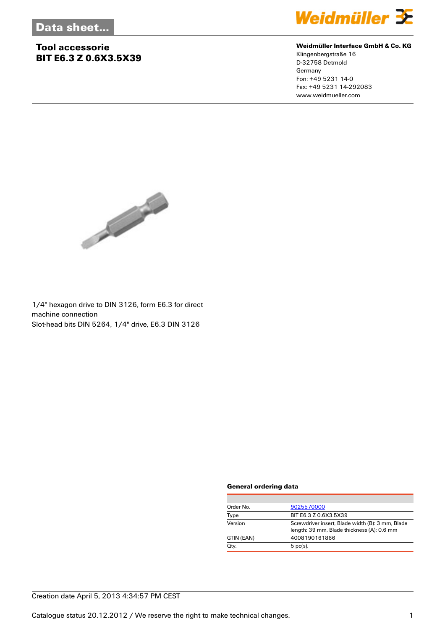## **Tool accessorie BIT E6.3 Z 0.6X3.5X39**



#### **Weidmüller Interface GmbH & Co. KG**

Klingenbergstraße 16 D-32758 Detmold Germany Fon: +49 5231 14-0 Fax: +49 5231 14-292083 www.weidmueller.com



1/4'' hexagon drive to DIN 3126, form E6.3 for direct machine connection Slot-head bits DIN 5264, 1/4'' drive, E6.3 DIN 3126

#### **General ordering data**

| Order No.  | 9025570000                                                                                     |  |
|------------|------------------------------------------------------------------------------------------------|--|
| Type       | BIT E6.3 Z 0.6X3.5X39                                                                          |  |
| Version    | Screwdriver insert, Blade width (B): 3 mm, Blade<br>length: 39 mm, Blade thickness (A): 0.6 mm |  |
| GTIN (EAN) | 4008190161866                                                                                  |  |
| Qty.       | $5$ pc(s).                                                                                     |  |